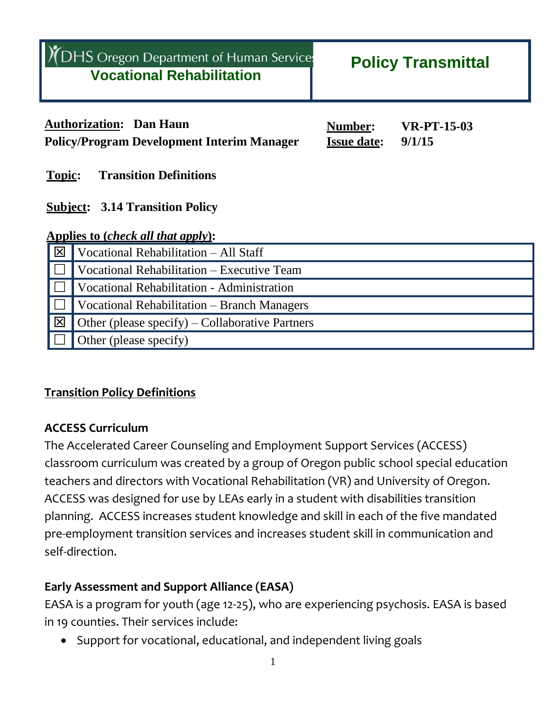|                                                                                          | <b>DHS</b> Oregon Department of Human Services<br><b>Vocational Rehabilitation</b>  |                                      | <b>Policy Transmittal</b>    |  |  |
|------------------------------------------------------------------------------------------|-------------------------------------------------------------------------------------|--------------------------------------|------------------------------|--|--|
|                                                                                          | <b>Authorization: Dan Haun</b><br><b>Policy/Program Development Interim Manager</b> | <b>Number:</b><br><b>Issue date:</b> | <b>VR-PT-15-03</b><br>9/1/15 |  |  |
| <b>Transition Definitions</b><br><b>Topic:</b><br><b>Subject: 3.14 Transition Policy</b> |                                                                                     |                                      |                              |  |  |
|                                                                                          | Applies to ( <i>check all that apply</i> ):                                         |                                      |                              |  |  |
| 図                                                                                        | Vocational Rehabilitation - All Staff                                               |                                      |                              |  |  |
|                                                                                          | Vocational Rehabilitation – Executive Team                                          |                                      |                              |  |  |
|                                                                                          | <b>Vocational Rehabilitation - Administration</b>                                   |                                      |                              |  |  |
|                                                                                          | Vocational Rehabilitation – Branch Managers                                         |                                      |                              |  |  |
| 区                                                                                        | Other (please specify) – Collaborative Partners                                     |                                      |                              |  |  |

#### **Transition Policy Definitions**

Other (please specify)

#### **ACCESS Curriculum**

The Accelerated Career Counseling and Employment Support Services (ACCESS) classroom curriculum was created by a group of Oregon public school special education teachers and directors with Vocational Rehabilitation (VR) and University of Oregon. ACCESS was designed for use by LEAs early in a student with disabilities transition planning. ACCESS increases student knowledge and skill in each of the five mandated pre-employment transition services and increases student skill in communication and self-direction.

### **Early Assessment and Support Alliance (EASA)**

EASA is a program for youth (age 12-25), who are experiencing psychosis. EASA is based in 19 counties. Their services include:

Support for vocational, educational, and independent living goals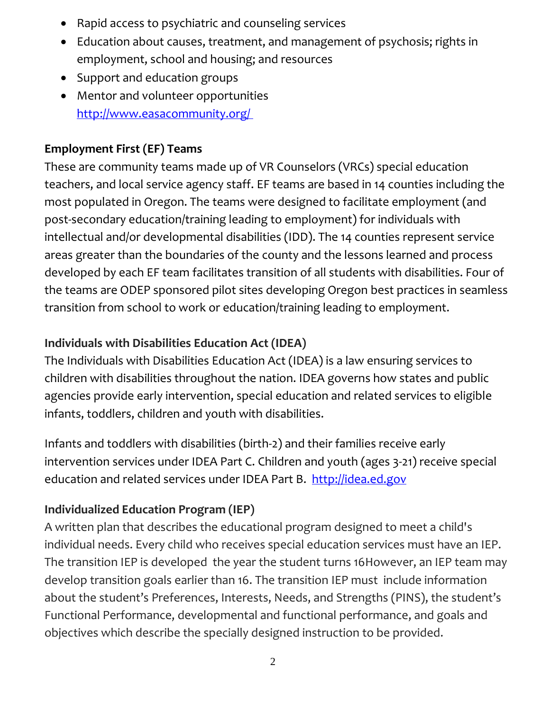- Rapid access to psychiatric and counseling services
- Education about causes, treatment, and management of psychosis; rights in employment, school and housing; and resources
- Support and education groups
- Mentor and volunteer opportunities <http://www.easacommunity.org/>

## **Employment First (EF) Teams**

These are community teams made up of VR Counselors (VRCs) special education teachers, and local service agency staff. EF teams are based in 14 counties including the most populated in Oregon. The teams were designed to facilitate employment (and post-secondary education/training leading to employment) for individuals with intellectual and/or developmental disabilities (IDD). The 14 counties represent service areas greater than the boundaries of the county and the lessons learned and process developed by each EF team facilitates transition of all students with disabilities. Four of the teams are ODEP sponsored pilot sites developing Oregon best practices in seamless transition from school to work or education/training leading to employment.

## **Individuals with Disabilities Education Act (IDEA)**

The Individuals with Disabilities Education Act (IDEA) is a law ensuring services to children with disabilities throughout the nation. IDEA governs how states and public agencies provide early intervention, special education and related services to eligible infants, toddlers, children and youth with disabilities.

Infants and toddlers with disabilities (birth-2) and their families receive early intervention services under IDEA Part C. Children and youth (ages 3-21) receive special education and related services under IDEA Part B. [http://idea.ed.gov](http://idea.ed.gov/)

# **Individualized Education Program (IEP)**

A written plan that describes the educational program designed to meet a child's individual needs. Every child who receives special education services must have an IEP. The transition IEP is developed the year the student turns 16However, an IEP team may develop transition goals earlier than 16. The transition IEP must include information about the student's Preferences, Interests, Needs, and Strengths (PINS), the student's Functional Performance, developmental and functional performance, and goals and objectives which describe the specially designed instruction to be provided.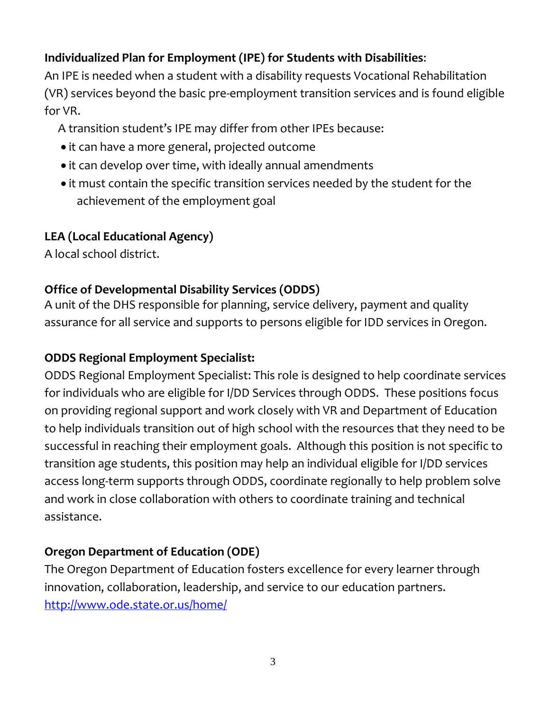## **Individualized Plan for Employment (IPE) for Students with Disabilities**:

An IPE is needed when a student with a disability requests Vocational Rehabilitation (VR) services beyond the basic pre-employment transition services and is found eligible for VR.

A transition student's IPE may differ from other IPEs because:

- it can have a more general, projected outcome
- it can develop over time, with ideally annual amendments
- it must contain the specific transition services needed by the student for the achievement of the employment goal

## **LEA (Local Educational Agency)**

A local school district.

## **Office of Developmental Disability Services (ODDS)**

A unit of the DHS responsible for planning, service delivery, payment and quality assurance for all service and supports to persons eligible for IDD services in Oregon.

## **ODDS Regional Employment Specialist:**

ODDS Regional Employment Specialist: This role is designed to help coordinate services for individuals who are eligible for I/DD Services through ODDS. These positions focus on providing regional support and work closely with VR and Department of Education to help individuals transition out of high school with the resources that they need to be successful in reaching their employment goals. Although this position is not specific to transition age students, this position may help an individual eligible for I/DD services access long-term supports through ODDS, coordinate regionally to help problem solve and work in close collaboration with others to coordinate training and technical assistance.

## **Oregon Department of Education (ODE)**

The Oregon Department of Education fosters excellence for every learner through innovation, collaboration, leadership, and service to our education partners. <http://www.ode.state.or.us/home/>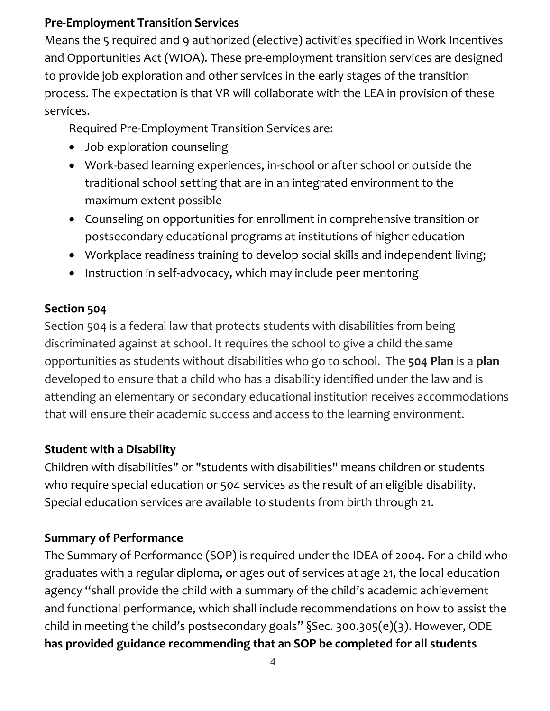### **Pre-Employment Transition Services**

Means the 5 required and 9 authorized (elective) activities specified in Work Incentives and Opportunities Act (WIOA). These pre-employment transition services are designed to provide job exploration and other services in the early stages of the transition process. The expectation is that VR will collaborate with the LEA in provision of these services.

Required Pre-Employment Transition Services are:

- Job exploration counseling
- Work-based learning experiences, in-school or after school or outside the traditional school setting that are in an integrated environment to the maximum extent possible
- Counseling on opportunities for enrollment in comprehensive transition or postsecondary educational programs at institutions of higher education
- Workplace readiness training to develop social skills and independent living;
- Instruction in self-advocacy, which may include peer mentoring

#### **Section 504**

Section 504 is a federal law that protects students with disabilities from being discriminated against at school. It requires the school to give a child the same opportunities as students without disabilities who go to school. The **504 Plan** is a **plan** developed to ensure that a child who has a disability identified under the law and is attending an elementary or secondary educational institution receives accommodations that will ensure their academic success and access to the learning environment.

### **Student with a Disability**

Children with disabilities" or "students with disabilities" means children or students who require special education or 504 services as the result of an eligible disability. Special education services are available to students from birth through 21.

### **Summary of Performance**

The Summary of Performance (SOP) is required under the IDEA of 2004. For a child who graduates with a regular diploma, or ages out of services at age 21, the local education agency "shall provide the child with a summary of the child's academic achievement and functional performance, which shall include recommendations on how to assist the child in meeting the child's postsecondary goals" §Sec. 300.305(e)(3). However, ODE **has provided guidance recommending that an SOP be completed for all students**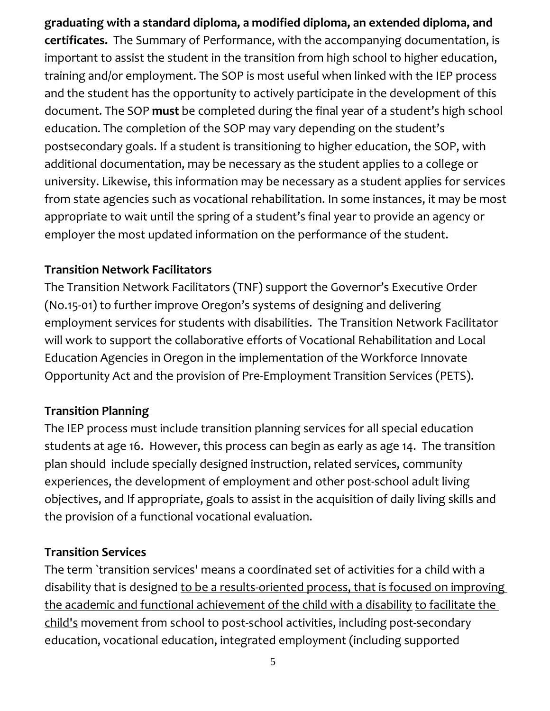**graduating with a standard diploma, a modified diploma, an extended diploma, and certificates.** The Summary of Performance, with the accompanying documentation, is important to assist the student in the transition from high school to higher education, training and/or employment. The SOP is most useful when linked with the IEP process and the student has the opportunity to actively participate in the development of this document. The SOP **must** be completed during the final year of a student's high school education. The completion of the SOP may vary depending on the student's postsecondary goals. If a student is transitioning to higher education, the SOP, with additional documentation, may be necessary as the student applies to a college or university. Likewise, this information may be necessary as a student applies for services from state agencies such as vocational rehabilitation. In some instances, it may be most appropriate to wait until the spring of a student's final year to provide an agency or employer the most updated information on the performance of the student.

#### **Transition Network Facilitators**

The Transition Network Facilitators (TNF) support the Governor's Executive Order (No.15-01) to further improve Oregon's systems of designing and delivering employment services for students with disabilities. The Transition Network Facilitator will work to support the collaborative efforts of Vocational Rehabilitation and Local Education Agencies in Oregon in the implementation of the Workforce Innovate Opportunity Act and the provision of Pre-Employment Transition Services (PETS).

## **Transition Planning**

The IEP process must include transition planning services for all special education students at age 16. However, this process can begin as early as age 14. The transition plan should include specially designed instruction, related services, community experiences, the development of employment and other post-school adult living objectives, and If appropriate, goals to assist in the acquisition of daily living skills and the provision of a functional vocational evaluation.

### **Transition Services**

The term `transition services' means a coordinated set of activities for a child with a disability that is designed to be a results-oriented process, that is focused on improving the academic and functional achievement of the child with a disability to facilitate the child's movement from school to post-school activities, including post-secondary education, vocational education, integrated employment (including supported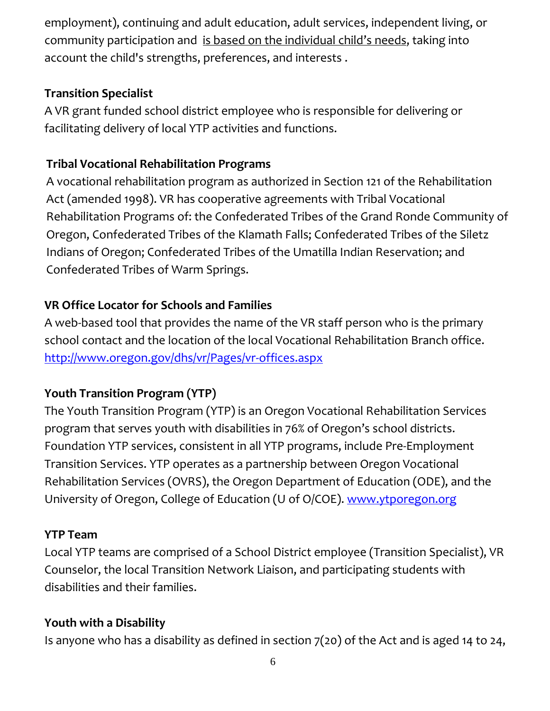employment), continuing and adult education, adult services, independent living, or community participation and is based on the individual child's needs, taking into account the child's strengths, preferences, and interests .

### **Transition Specialist**

A VR grant funded school district employee who is responsible for delivering or facilitating delivery of local YTP activities and functions.

### **Tribal Vocational Rehabilitation Programs**

A vocational rehabilitation program as authorized in Section 121 of the Rehabilitation Act (amended 1998). VR has cooperative agreements with Tribal Vocational Rehabilitation Programs of: the Confederated Tribes of the Grand Ronde Community of Oregon, Confederated Tribes of the Klamath Falls; Confederated Tribes of the Siletz Indians of Oregon; Confederated Tribes of the Umatilla Indian Reservation; and Confederated Tribes of Warm Springs.

### **VR Office Locator for Schools and Families**

A web-based tool that provides the name of the VR staff person who is the primary school contact and the location of the local Vocational Rehabilitation Branch office. <http://www.oregon.gov/dhs/vr/Pages/vr-offices.aspx>

### **Youth Transition Program (YTP)**

The Youth Transition Program (YTP) is an Oregon Vocational Rehabilitation Services program that serves youth with disabilities in 76% of Oregon's school districts. Foundation YTP services, consistent in all YTP programs, include Pre-Employment Transition Services. YTP operates as a partnership between Oregon Vocational Rehabilitation Services (OVRS), the Oregon Department of Education (ODE), and the University of Oregon, College of Education (U of O/COE). [www.ytporegon.org](http://www.ytporegon.org/)

### **YTP Team**

Local YTP teams are comprised of a School District employee (Transition Specialist), VR Counselor, the local Transition Network Liaison, and participating students with disabilities and their families.

### **Youth with a Disability**

Is anyone who has a disability as defined in section 7(20) of the Act and is aged 14 to 24,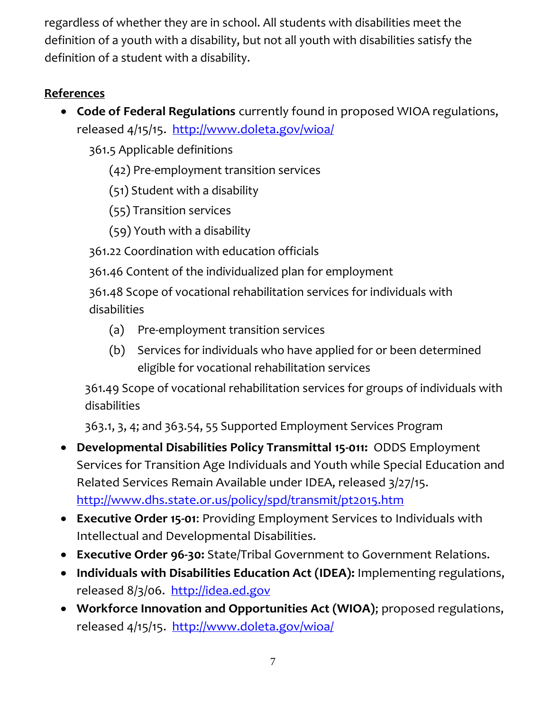regardless of whether they are in school. All students with disabilities meet the definition of a youth with a disability, but not all youth with disabilities satisfy the definition of a student with a disability.

## **References**

 **Code of Federal Regulations** currently found in proposed WIOA regulations, released 4/15/15. <http://www.doleta.gov/wioa/>

361.5 Applicable definitions

(42) Pre-employment transition services

(51) Student with a disability

(55) Transition services

(59) Youth with a disability

361.22 Coordination with education officials

361.46 Content of the individualized plan for employment

361.48 Scope of vocational rehabilitation services for individuals with disabilities

- (a) Pre-employment transition services
- (b) Services for individuals who have applied for or been determined eligible for vocational rehabilitation services

361.49 Scope of vocational rehabilitation services for groups of individuals with disabilities

363.1, 3, 4; and 363.54, 55 Supported Employment Services Program

- **Developmental Disabilities Policy Transmittal 15-011:** ODDS Employment Services for Transition Age Individuals and Youth while Special Education and Related Services Remain Available under IDEA, released 3/27/15. <http://www.dhs.state.or.us/policy/spd/transmit/pt2015.htm>
- **Executive Order 15-01**: Providing Employment Services to Individuals with Intellectual and Developmental Disabilities.
- **Executive Order 96-30:** State/Tribal Government to Government Relations.
- **Individuals with Disabilities Education Act (IDEA):** Implementing regulations, released 8/3/06. [http://idea.ed.gov](http://idea.ed.gov/)
- **Workforce Innovation and Opportunities Act (WIOA)**; proposed regulations, released 4/15/15. <http://www.doleta.gov/wioa/>